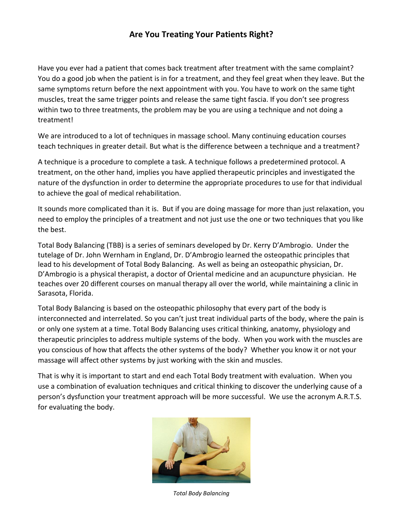## **Are You Treating Your Patients Right?**

Have you ever had a patient that comes back treatment after treatment with the same complaint? You do a good job when the patient is in for a treatment, and they feel great when they leave. But the same symptoms return before the next appointment with you. You have to work on the same tight muscles, treat the same trigger points and release the same tight fascia. If you don't see progress within two to three treatments, the problem may be you are using a technique and not doing a treatment!

We are introduced to a lot of techniques in massage school. Many continuing education courses teach techniques in greater detail. But what is the difference between a technique and a treatment?

A technique is a procedure to complete a task. A technique follows a predetermined protocol. A treatment, on the other hand, implies you have applied therapeutic principles and investigated the nature of the dysfunction in order to determine the appropriate procedures to use for that individual to achieve the goal of medical rehabilitation.

It sounds more complicated than it is. But if you are doing massage for more than just relaxation, you need to employ the principles of a treatment and not just use the one or two techniques that you like the best.

Total Body Balancing (TBB) is a series of seminars developed by Dr. Kerry D'Ambrogio. Under the tutelage of Dr. John Wernham in England, Dr. D'Ambrogio learned the osteopathic principles that lead to his development of Total Body Balancing. As well as being an osteopathic physician, Dr. D'Ambrogio is a physical therapist, a doctor of Oriental medicine and an acupuncture physician. He teaches over 20 different courses on manual therapy all over the world, while maintaining a clinic in Sarasota, Florida.

Total Body Balancing is based on the osteopathic philosophy that every part of the body is interconnected and interrelated. So you can't just treat individual parts of the body, where the pain is or only one system at a time. Total Body Balancing uses critical thinking, anatomy, physiology and therapeutic principles to address multiple systems of the body. When you work with the muscles are you conscious of how that affects the other systems of the body? Whether you know it or not your massage will affect other systems by just working with the skin and muscles.

That is why it is important to start and end each Total Body treatment with evaluation. When you use a combination of evaluation techniques and critical thinking to discover the underlying cause of a person's dysfunction your treatment approach will be more successful. We use the acronym A.R.T.S. for evaluating the body.



*Total Body Balancing*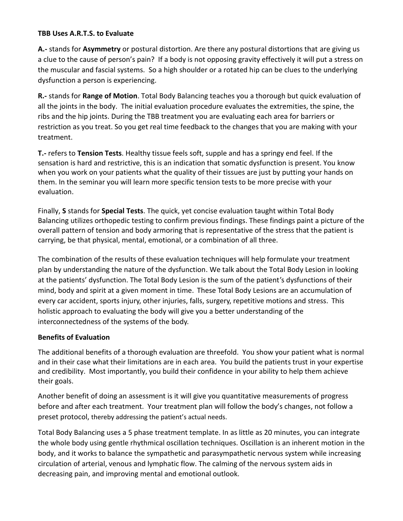## **TBB Uses A.R.T.S. to Evaluate**

**A.-** stands for **Asymmetry** or postural distortion. Are there any postural distortions that are giving us a clue to the cause of person's pain? If a body is not opposing gravity effectively it will put a stress on the muscular and fascial systems. So a high shoulder or a rotated hip can be clues to the underlying dysfunction a person is experiencing.

**R.-** stands for **Range of Motion**. Total Body Balancing teaches you a thorough but quick evaluation of all the joints in the body. The initial evaluation procedure evaluates the extremities, the spine, the ribs and the hip joints. During the TBB treatment you are evaluating each area for barriers or restriction as you treat. So you get real time feedback to the changes that you are making with your treatment.

**T.-** refers to **Tension Tests**. Healthy tissue feels soft, supple and has a springy end feel. If the sensation is hard and restrictive, this is an indication that somatic dysfunction is present. You know when you work on your patients what the quality of their tissues are just by putting your hands on them. In the seminar you will learn more specific tension tests to be more precise with your evaluation.

Finally, **S** stands for **Special Tests**. The quick, yet concise evaluation taught within Total Body Balancing utilizes orthopedic testing to confirm previous findings. These findings paint a picture of the overall pattern of tension and body armoring that is representative of the stress that the patient is carrying, be that physical, mental, emotional, or a combination of all three.

The combination of the results of these evaluation techniques will help formulate your treatment plan by understanding the nature of the dysfunction. We talk about the Total Body Lesion in looking at the patients' dysfunction. The Total Body Lesion is the sum of the patient's dysfunctions of their mind, body and spirit at a given moment in time. These Total Body Lesions are an accumulation of every car accident, sports injury, other injuries, falls, surgery, repetitive motions and stress. This holistic approach to evaluating the body will give you a better understanding of the interconnectedness of the systems of the body.

## **Benefits of Evaluation**

The additional benefits of a thorough evaluation are threefold. You show your patient what is normal and in their case what their limitations are in each area. You build the patients trust in your expertise and credibility. Most importantly, you build their confidence in your ability to help them achieve their goals.

Another benefit of doing an assessment is it will give you quantitative measurements of progress before and after each treatment. Your treatment plan will follow the body's changes, not follow a preset protocol, thereby addressing the patient's actual needs.

Total Body Balancing uses a 5 phase treatment template. In as little as 20 minutes, you can integrate the whole body using gentle rhythmical oscillation techniques. Oscillation is an inherent motion in the body, and it works to balance the sympathetic and parasympathetic nervous system while increasing circulation of arterial, venous and lymphatic flow. The calming of the nervous system aids in decreasing pain, and improving mental and emotional outlook.